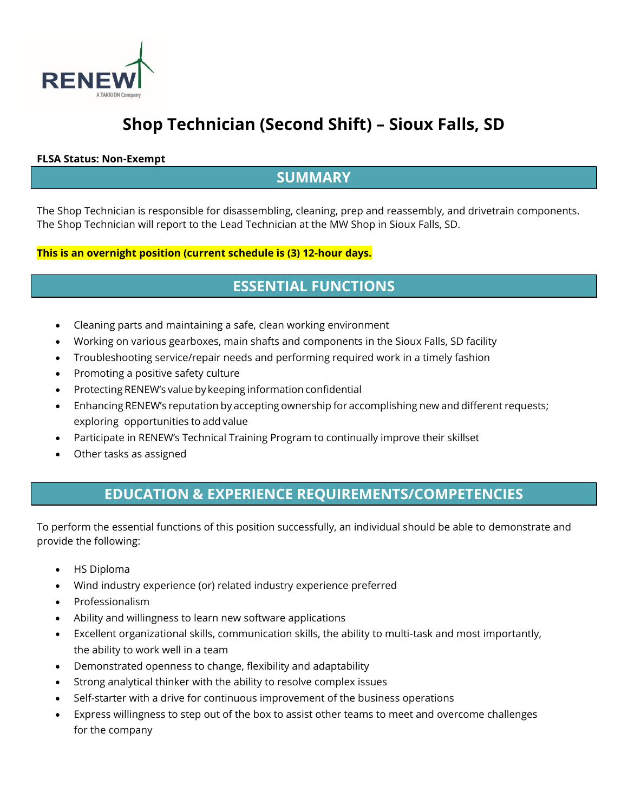

# **Shop Technician (Second Shift) – Sioux Falls, SD**

#### **FLSA Status: Non-Exempt**

#### **SUMMARY**

The Shop Technician is responsible for disassembling, cleaning, prep and reassembly, and drivetrain components. The Shop Technician will report to the Lead Technician at the MW Shop in Sioux Falls, SD.

#### **This is an overnight position (current schedule is (3) 12-hour days.**

### **ESSENTIAL FUNCTIONS**

- Cleaning parts and maintaining a safe, clean working environment
- Working on various gearboxes, main shafts and components in the Sioux Falls, SD facility
- Troubleshooting service/repair needs and performing required work in a timely fashion
- Promoting a positive safety culture
- Protecting RENEW's value by keeping information confidential
- Enhancing RENEW's reputation by accepting ownership for accomplishing new and different requests; exploring opportunities to add value
- Participate in RENEW's Technical Training Program to continually improve their skillset
- Other tasks as assigned

## **EDUCATION & EXPERIENCE REQUIREMENTS/COMPETENCIES**

To perform the essential functions of this position successfully, an individual should be able to demonstrate and provide the following:

- HS Diploma
- Wind industry experience (or) related industry experience preferred
- Professionalism
- Ability and willingness to learn new software applications
- Excellent organizational skills, communication skills, the ability to multi-task and most importantly, the ability to work well in a team
- Demonstrated openness to change, flexibility and adaptability
- Strong analytical thinker with the ability to resolve complex issues
- Self-starter with a drive for continuous improvement of the business operations
- Express willingness to step out of the box to assist other teams to meet and overcome challenges for the company